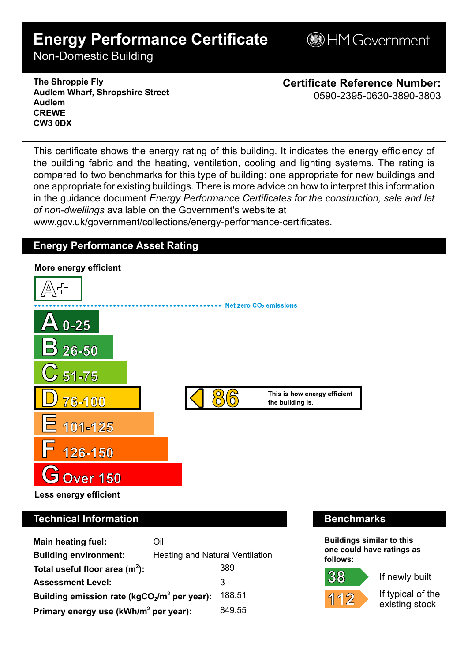# **Energy Performance Certificate**

**BHM Government** 

Non-Domestic Building

**The Shroppie Fly Audlem Wharf, Shropshire Street Audlem CREWE CW3 0DX**

**Certificate Reference Number:** 0590-2395-0630-3890-3803

This certificate shows the energy rating of this building. It indicates the energy efficiency of the building fabric and the heating, ventilation, cooling and lighting systems. The rating is compared to two benchmarks for this type of building: one appropriate for new buildings and one appropriate for existing buildings. There is more advice on how to interpret this information in the guidance document *Energy Performance Certificates for the construction, sale and let of non-dwellings* available on the Government's website at

www.gov.uk/government/collections/energy-performance-certificates.

# **Energy Performance Asset Rating**



| Main heating fuel:                                | Oil                                    |        |
|---------------------------------------------------|----------------------------------------|--------|
| <b>Building environment:</b>                      | <b>Heating and Natural Ventilation</b> |        |
| Total useful floor area $(m2)$ :                  |                                        | 389    |
| <b>Assessment Level:</b>                          |                                        | 3      |
| Building emission rate ( $kgCO2/m2$ per year):    |                                        | 188.51 |
| Primary energy use (kWh/m <sup>2</sup> per year): |                                        | 849.55 |

## **Technical Information Benchmarks**

**Buildings similar to this one could have ratings as follows:**

If newly built



If typical of the existing stock